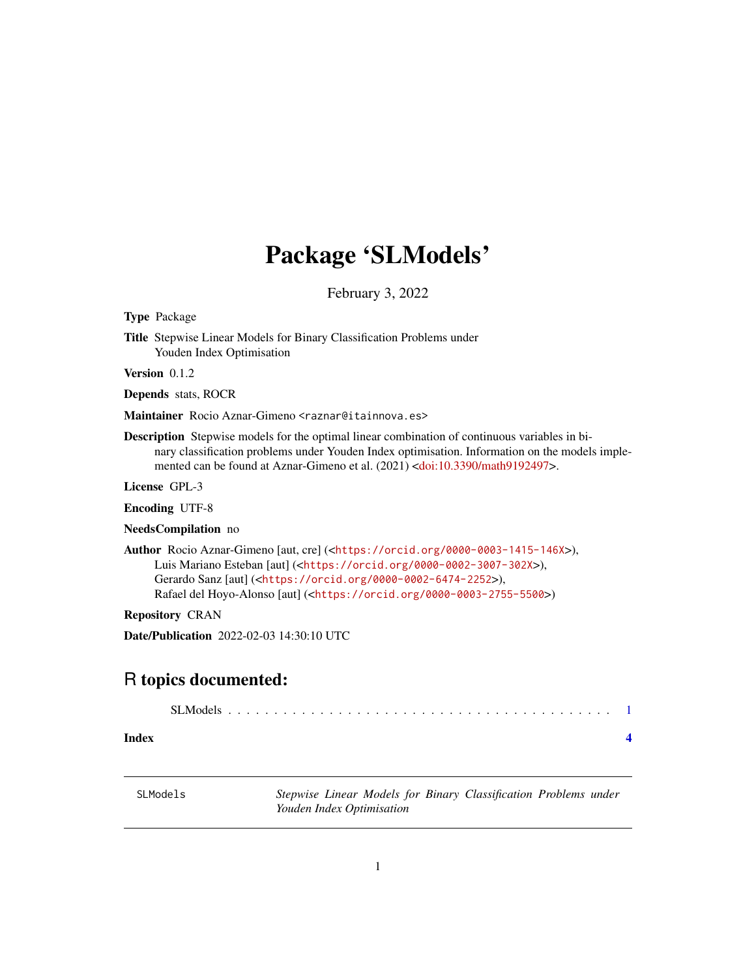## <span id="page-0-0"></span>Package 'SLModels'

February 3, 2022

Type Package

Title Stepwise Linear Models for Binary Classification Problems under Youden Index Optimisation

Version 0.1.2

Depends stats, ROCR

Maintainer Rocio Aznar-Gimeno <raznar@itainnova.es>

Description Stepwise models for the optimal linear combination of continuous variables in binary classification problems under Youden Index optimisation. Information on the models implemented can be found at Aznar-Gimeno et al. (2021) [<doi:10.3390/math9192497>](https://doi.org/10.3390/math9192497).

License GPL-3

Encoding UTF-8

NeedsCompilation no

Author Rocio Aznar-Gimeno [aut, cre] (<<https://orcid.org/0000-0003-1415-146X>>), Luis Mariano Esteban [aut] (<<https://orcid.org/0000-0002-3007-302X>>), Gerardo Sanz [aut] (<<https://orcid.org/0000-0002-6474-2252>>), Rafael del Hoyo-Alonso [aut] (<<https://orcid.org/0000-0003-2755-5500>>)

Repository CRAN

Date/Publication 2022-02-03 14:30:10 UTC

### R topics documented:

**Index** [4](#page-3-0)

SLModels *Stepwise Linear Models for Binary Classification Problems under Youden Index Optimisation*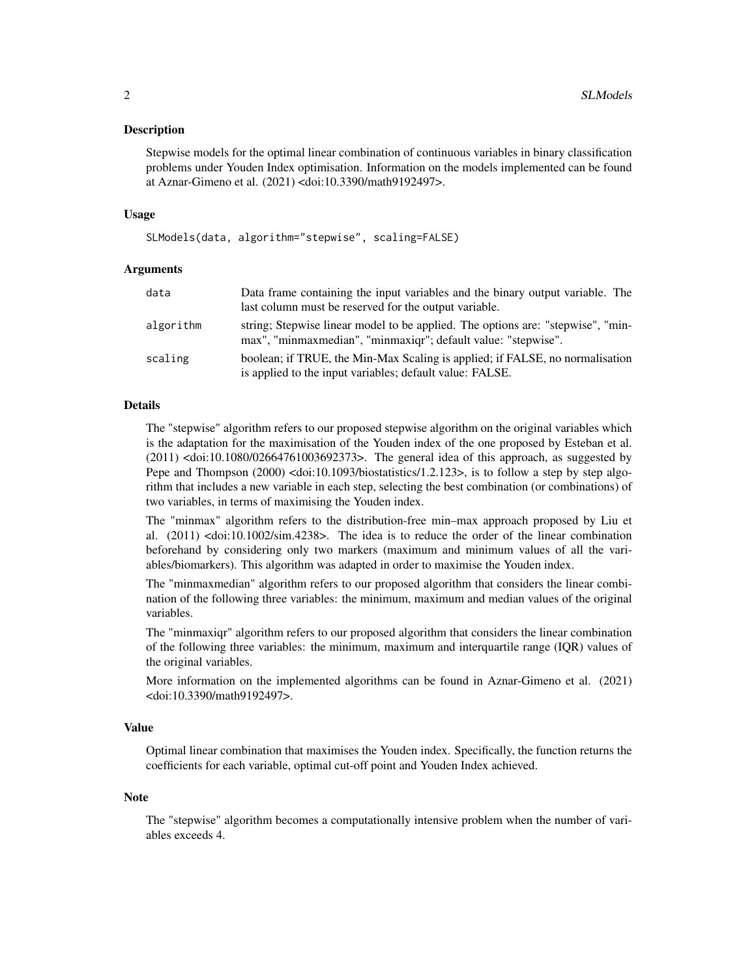#### Description

Stepwise models for the optimal linear combination of continuous variables in binary classification problems under Youden Index optimisation. Information on the models implemented can be found at Aznar-Gimeno et al. (2021) <doi:10.3390/math9192497>.

#### Usage

SLModels(data, algorithm="stepwise", scaling=FALSE)

#### Arguments

| data      | Data frame containing the input variables and the binary output variable. The<br>last column must be reserved for the output variable.           |
|-----------|--------------------------------------------------------------------------------------------------------------------------------------------------|
|           |                                                                                                                                                  |
| algorithm | string; Stepwise linear model to be applied. The options are: "stepwise", "min-<br>max", "minmaxmedian", "minmaxiqr"; default value: "stepwise". |
| scaling   | boolean; if TRUE, the Min-Max Scaling is applied; if FALSE, no normalisation<br>is applied to the input variables; default value: FALSE.         |

#### Details

The "stepwise" algorithm refers to our proposed stepwise algorithm on the original variables which is the adaptation for the maximisation of the Youden index of the one proposed by Esteban et al. (2011) <doi:10.1080/02664761003692373>. The general idea of this approach, as suggested by Pepe and Thompson (2000) <doi:10.1093/biostatistics/1.2.123>, is to follow a step by step algorithm that includes a new variable in each step, selecting the best combination (or combinations) of two variables, in terms of maximising the Youden index.

The "minmax" algorithm refers to the distribution-free min–max approach proposed by Liu et al. (2011) <doi:10.1002/sim.4238>. The idea is to reduce the order of the linear combination beforehand by considering only two markers (maximum and minimum values of all the variables/biomarkers). This algorithm was adapted in order to maximise the Youden index.

The "minmaxmedian" algorithm refers to our proposed algorithm that considers the linear combination of the following three variables: the minimum, maximum and median values of the original variables.

The "minmaxiqr" algorithm refers to our proposed algorithm that considers the linear combination of the following three variables: the minimum, maximum and interquartile range (IQR) values of the original variables.

More information on the implemented algorithms can be found in Aznar-Gimeno et al. (2021) <doi:10.3390/math9192497>.

#### Value

Optimal linear combination that maximises the Youden index. Specifically, the function returns the coefficients for each variable, optimal cut-off point and Youden Index achieved.

#### Note

The "stepwise" algorithm becomes a computationally intensive problem when the number of variables exceeds 4.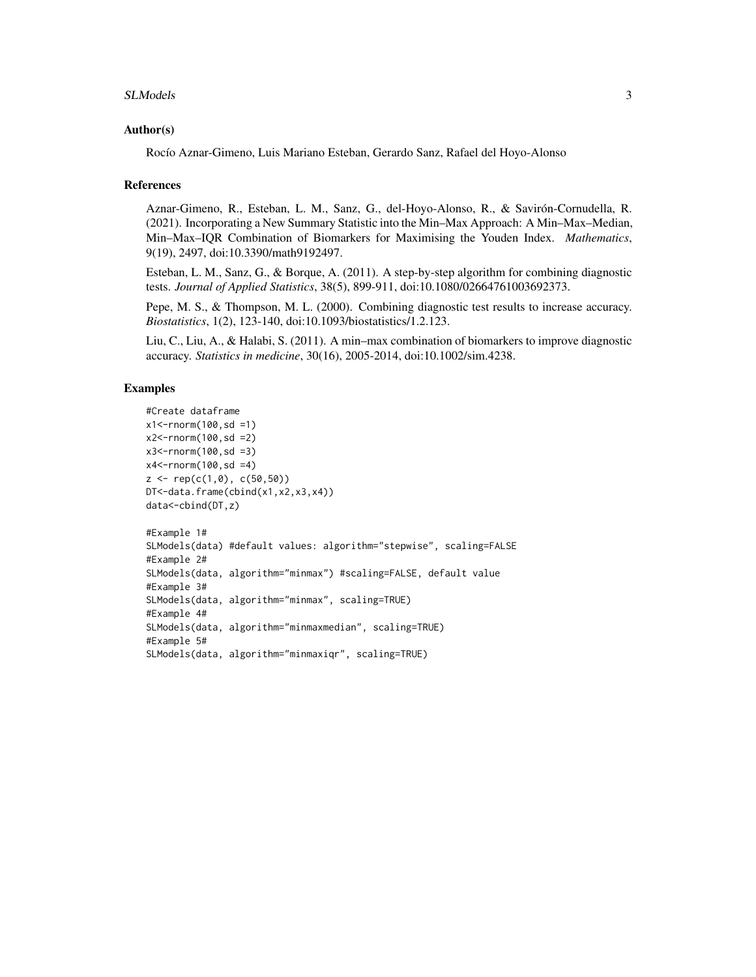#### SLModels 3

#### Author(s)

Rocío Aznar-Gimeno, Luis Mariano Esteban, Gerardo Sanz, Rafael del Hoyo-Alonso

#### References

Aznar-Gimeno, R., Esteban, L. M., Sanz, G., del-Hoyo-Alonso, R., & Savirón-Cornudella, R. (2021). Incorporating a New Summary Statistic into the Min–Max Approach: A Min–Max–Median, Min–Max–IQR Combination of Biomarkers for Maximising the Youden Index. *Mathematics*, 9(19), 2497, doi:10.3390/math9192497.

Esteban, L. M., Sanz, G., & Borque, A. (2011). A step-by-step algorithm for combining diagnostic tests. *Journal of Applied Statistics*, 38(5), 899-911, doi:10.1080/02664761003692373.

Pepe, M. S., & Thompson, M. L. (2000). Combining diagnostic test results to increase accuracy. *Biostatistics*, 1(2), 123-140, doi:10.1093/biostatistics/1.2.123.

Liu, C., Liu, A., & Halabi, S. (2011). A min–max combination of biomarkers to improve diagnostic accuracy. *Statistics in medicine*, 30(16), 2005-2014, doi:10.1002/sim.4238.

#### Examples

```
#Create dataframe
x1<-rnorm(100,sd =1)
x2<-rnorm(100,sd =2)
x3<-rnorm(100,sd =3)
x4<-rnorm(100,sd =4)
z \leq -\text{rep}(c(1, 0), c(50, 50))DT<-data.frame(cbind(x1,x2,x3,x4))
data<-cbind(DT,z)
#Example 1#
SLModels(data) #default values: algorithm="stepwise", scaling=FALSE
#Example 2#
SLModels(data, algorithm="minmax") #scaling=FALSE, default value
#Example 3#
SLModels(data, algorithm="minmax", scaling=TRUE)
#Example 4#
SLModels(data, algorithm="minmaxmedian", scaling=TRUE)
#Example 5#
SLModels(data, algorithm="minmaxiqr", scaling=TRUE)
```